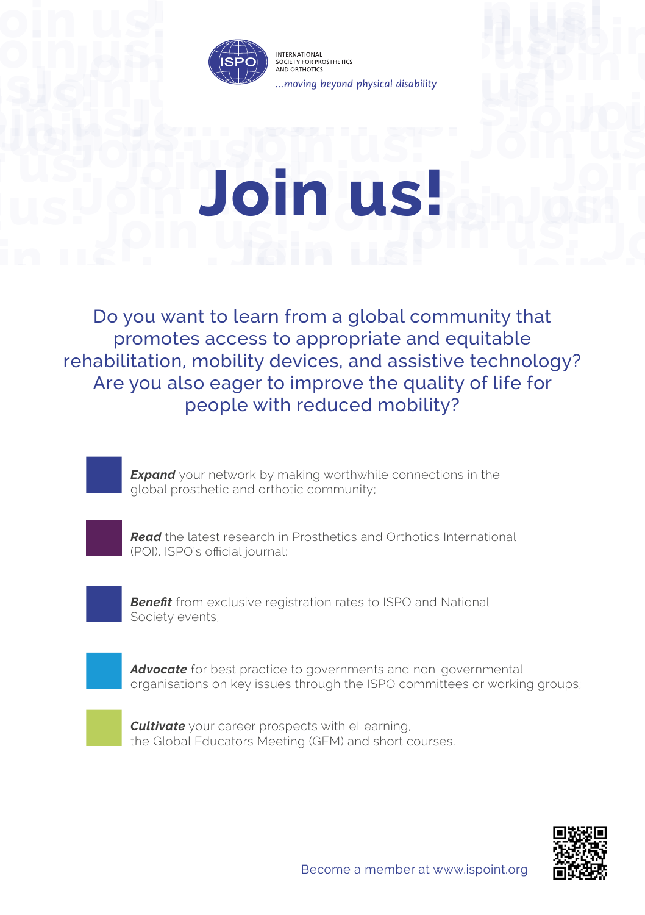

## **JOIN USED USED**<br> **JOIN USED**<br> **JOIN USED**<br> **JOIN USED**<br> **JOIN US Join U.**<br>John uspin us! **Join us! Join us! Join us! Join us! Join us! Join us! Join us!**

**Join us!** Do you want to learn from a global community that **Join 1995**<br> **Join 1995**<br> **Join 1995**<br> **Join 1995**<br> **Join 1995**<br> **Join 1995**<br> **Join 1995 Join us! Join us! J**<br>*M*<br>*Li*nd<br>*Li*nd<br>*Lin*d promotes access to appropriate and equitable rehabilitation, mobility devices, and assistive technology? Are you also eager to improve the quality of life for people with reduced mobility?



*Read* the latest research in Prosthetics and Orthotics International (POI), ISPO's official journal;



*Benefit* from exclusive registration rates to ISPO and National Society events;

*Advocate* for best practice to governments and non-governmental organisations on key issues through the ISPO committees or working groups;



*Cultivate* your career prospects with eLearning, the Global Educators Meeting (GEM) and short courses.